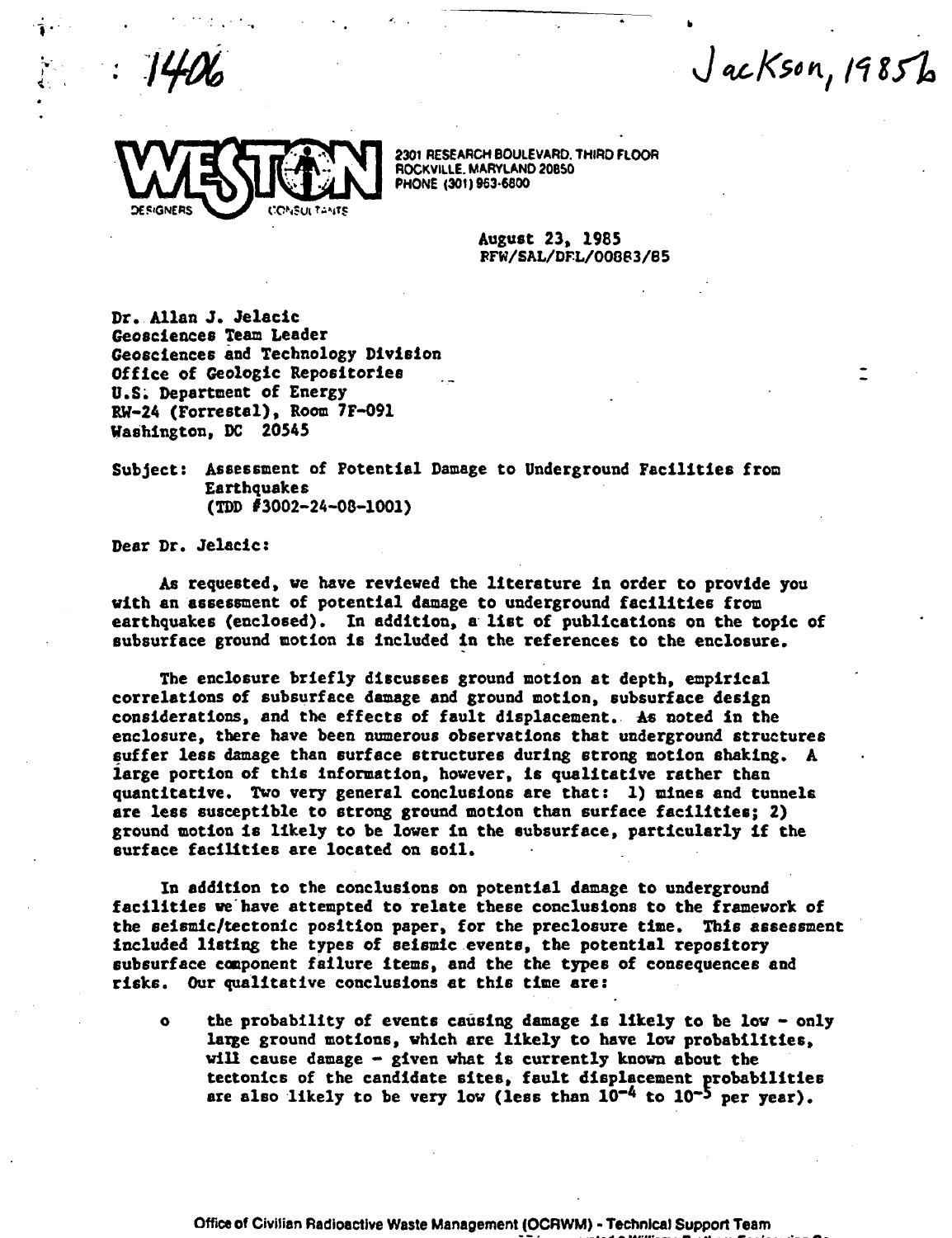$JacKson, 1985b$ 



2301 RESEARCH BOULEVARD. THIRD FLOOR ROCKVILLE, MARYLAND 20850<br>PHONE (301) 963-6800

August 23, 1985<br>RFW/SAL/DFL/00883/85

Dr.Allan J. Jelacic Geosciences Team Leader Geosciences and Technology Division Office of Geologic Repositories U.S. Department of Energy RW-24 (Forrestal), Room 7F-091 Washington, DC 20545

Subject: Assessment of Potential Damage to Underground Facilities from **Earthquakes** (TDD #3002-24-08-1001)

Dear Dr. Jelacic:

As requested, we have reviewed the literature in order to provide you with an assessment of potential damage to underground facilities from earthquakes (enclosed). In addition, a list of publications on the topic of subsurface ground motion is included in the references to the enclosure.

The enclosure briefly discusses ground motion at depth, empirical correlations of subsurface damage and ground motion, subsurface design considerations, and the effects of fault displacement. As noted in the enclosure, there have been numerous observations that underground structures suffer less damage than surface structures during strong motion shaking. A large portion of this information, however, is qualitative rather than quantitative. Two very general conclusions are that: 1) mines and tunnels are less susceptible to strong ground motion than surface facilities; 2) ground motion is likely to be lower in the subsurface, particularly if the surface facilities are located on soil.

In addition to the conclusions on potential damage to underground facilities we have attempted to relate these conclusions to the framework of the seismic/tectonic position paper, for the preclosure time. This assessment included listing the types of seismic events, the potential repository subsurf ace component failure items, and the the types of consequences and risks. Our qualitative conclusions at this time are:

the probability of events causing damage is likely to be low - only  $\mathbf{a}$ large ground motions, which are likely to have low probabilities, will cause damage - given what is currently known about the tectonics of the candidate sites, fault displacement probabilities are also likely to be very low (less than  $10^{-4}$  to  $10^{-5}$  per year).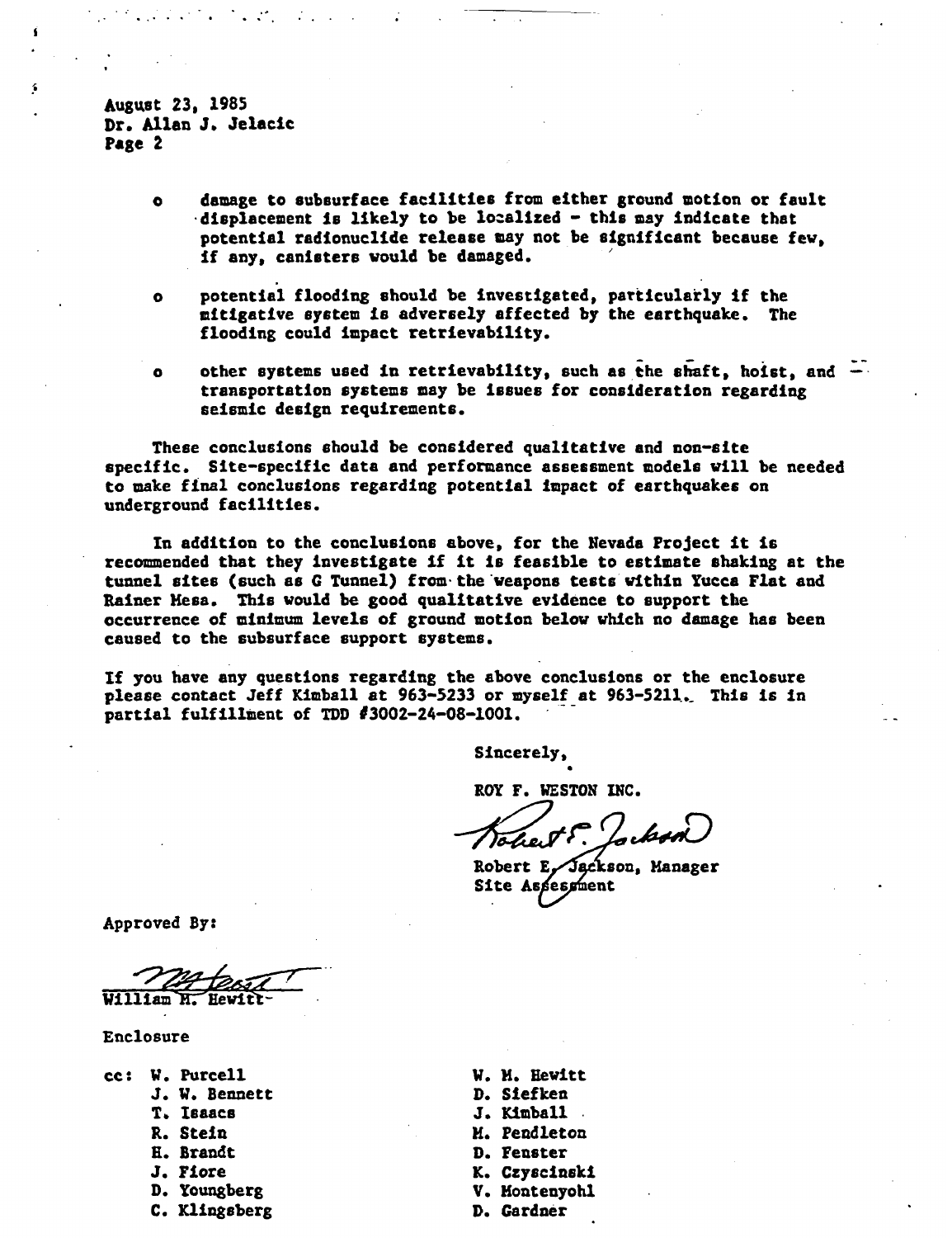August 23, 1985 Dr. Allan J. Jelacic Page 2

 $\sim 10^{10}$ 

- damage to subsurface facilities from either ground motion or fault  $\bullet$ displacement is likely to be localized - this may indicate that potential radionuclide release may not be significant because few, if any, canisters would be damaged.
- potential flooding should be investigated, particularly if the  $\bullet$ mitigative system is adversely affected by the earthquake. The flooding could impact retrievability.
- other systems used in retrievability, such as the shaft, hoist, and  $\bullet$ transportation systems may be issues for consideration regarding seismic design requirements.

These conclusions should be considered qualitative and non-site specific. Site-specific data and performance assessment models will be needed to make final conclusions regarding potential Impact of earthquakes on underground facilities.

In addition to the conclusions above, for the Nevada Project it Is recommended that they investigate if it is feasible to estimate shaking at the tunnel sites (such as & Tunnel) from the weapons tests within Yucca Flat and Rainer Mesa. This would be good qualitative evidence to support the occurrence of minimum levels of ground motion below which no damage has been caused to the subsurface support systems.

If you have any questions regarding the above conclusions or the enclosure please contact Jeff Kimball at 963-5233 or myself at 963-5211. This is in partial fulfillment of TDD #3002-24-08-1001.

Sincerely,

ROY F. WESTON INC.

Robert E. Jackson, Manager Site Assessment

Approved By

William M. Hewit)

Enclosure

- cc: W. Purcell W. M. Hewitt
	-
	-
	-
	-
	-
	-
	- C. Klingsberg D. Gardner

J. W. Bennett D. Siefken J. Kimball R. Stein M. Pendleton H. Brandt **D. Fenster**<br>
J. Fiore **D. K. Czyscin** K. Czyscinski D. Youngberg V. Montenyohl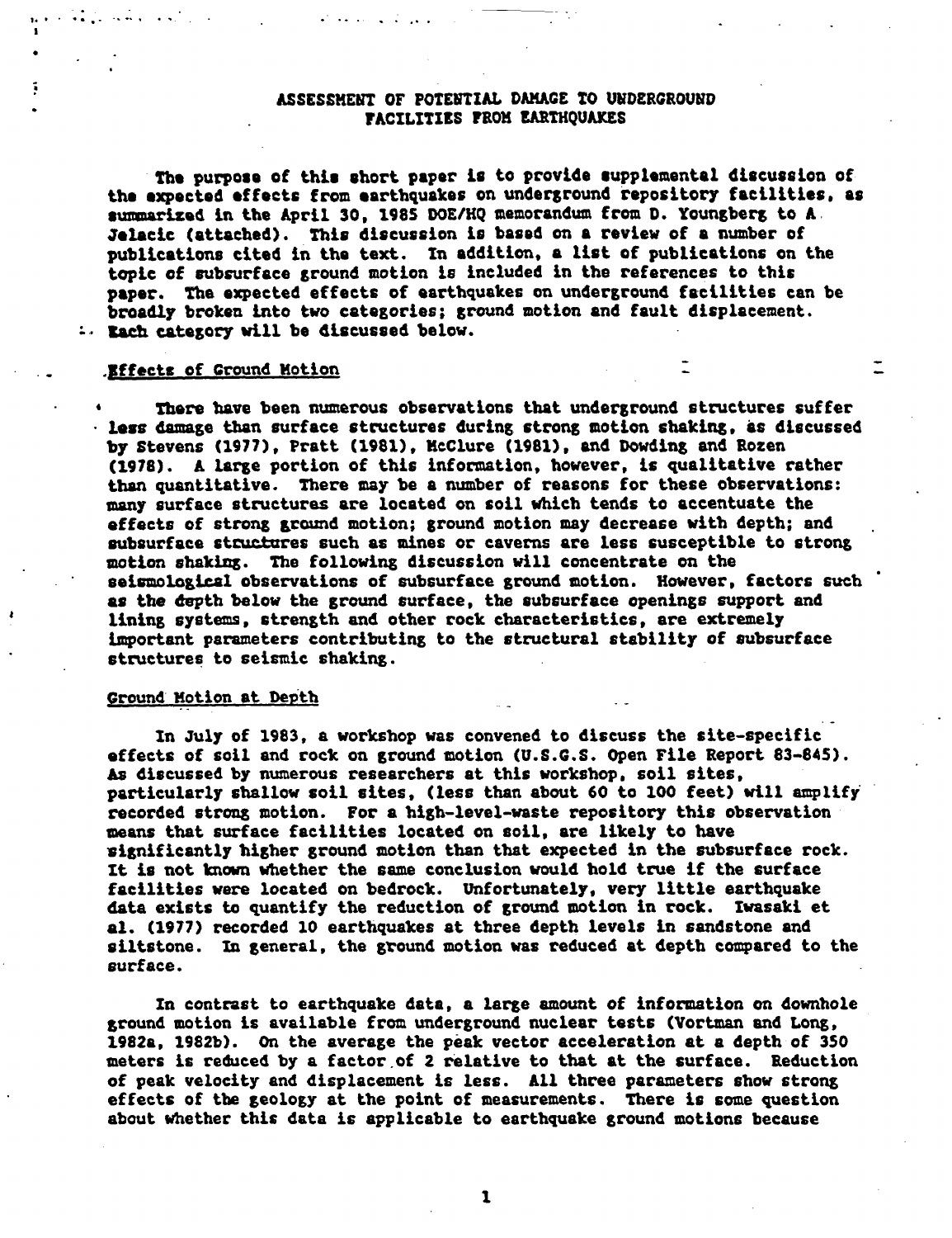#### ASSESSMENT OF POTENTIAL DAMAGE TO UNDERGROUND FACILITIES FROM EARTHQUAKES

**The** purpose of this short paper is to provide supplemental discussion of the expected effects from earthquakes on underground repository facilities, as **summarized** in the April 30, 198S DOE/HQ memorandum from D. Youngberg to A. **Jelacic** (attached). This discussion is based on a review of a number of publications cited in the text. In addition, a list of publications on the topic of subsurface ground motion *is* included in the references to this paper. The expected effects of earthquakes on underground facilities can be broadly broken into two categories; ground motion and fault displacement. :. Each category will be discussed below.

#### Effects of Ground Motion

There have been numerous observations that underground structures suffer less damage than surface structures during strong motion shaking, as discussed by Stevens (1977), Pratt (1981), McClure (1981), and Dowding and Rozen (1978). A large portion of this information, however, is qualitative rather than quantitative. There may be a number of reasons for these observations: many surface structures are located on soil which tends to accentuate the effects of strong ground motion; ground motion may decrease with depth; and subsurface structures such as mines or caverns are less susceptible to strong motion shaking. The following discussion will concentrate on the seismological observations of subsurface ground motion. However, factors such as the depth below the ground surface, the subsurface openings support and lining systems, strength and other rock characteristics, are extremely important parameters contributing to the structural stability of subsurface structures to seismic shaking.

#### Ground Motion at Depth

In July of 1983, a workshop was convened to discuss the site-specific effects of soil and rock on ground motion (U.S.G.S. Open File Report 83-845). As discussed by numerous researchers at this workshop, soil sites, particularly shallow soil sites, (less than about 60 to 100 feet) will amplify recorded strong motion. For a high-level-waste repository this observation means that surface facilities located on soil, are likely to have significantly higher ground motion than that expected in the subsurface rock. It is not known whether the same conclusion would hold true if the surface facilities were located on bedrock. Unfortunately, very little earthquake data exists to quantify the reduction of ground motion in rock. Iwasaki et al. (1977) recorded 10 earthquakes at three depth levels in sandstone and siltstone. In general, the ground motion was reduced at depth compared to the surface.

In contrast to earthquake data, a large amount of information on downhole ground motion is available from underground nuclear tests (Vortman and Long, 1982a, 1982b). On the average the peak vector acceleration at a depth of 350 meters is reduced by a factor of 2 relative to that at the surface. Reduction of peak velocity and displacement is less. All three parameters show strong effects of the geology at the point of measurements. There is some question about whether this data is applicable to earthquake ground motions because

 $\mathbf{1}$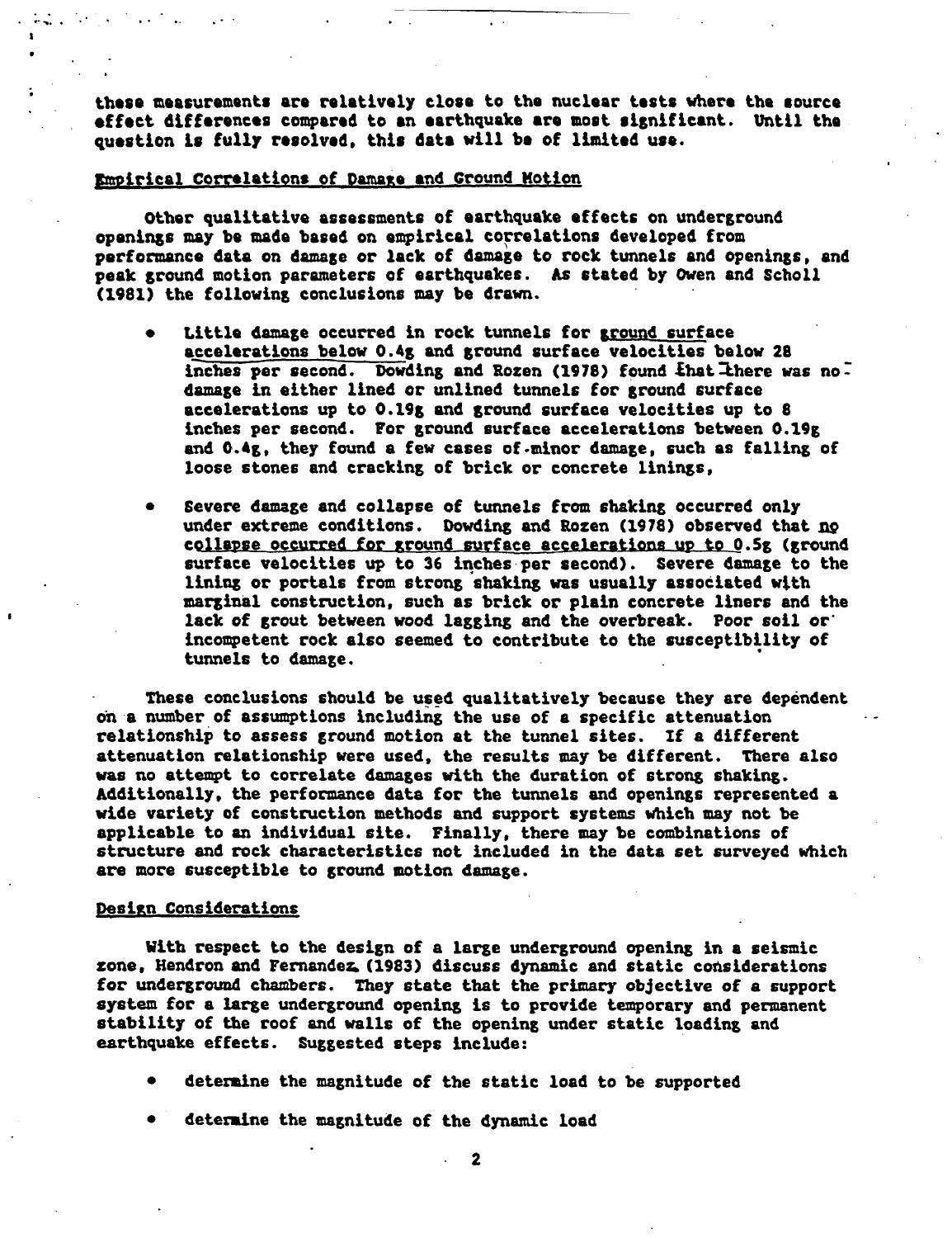these measurements are relatively close to the nuclear tests where the source **effect** differences compared to **an** earthquake are most significant. Until the question is fully resolved, this date will be of limited use.

#### Empirical Correlations of Damage and ground Motion

Other qualitative assessments of earthquake effects on underground openings may be made based on empirical correlations developed from performance data on damage or lack of damage to rock tunnels and openings, and peak ground motion parameters of earthquakes. As stated by Owen and Scholl (1981) the following conclusions may be drawn.

- Little damage occurred in rock tunnels for ground surface accelerations below 0.48 and ground surface velocities below 28 inches per second. Dowding and Rozen (1978) found that there was no. damage in either lined or unlined tunnels for ground surface accelerations up to 0.19g and ground surface velocities up to 8 inches per second. For ground surface accelerations between 0.19g and 0.4g, they found a few cases of minor damage, such as falling of loose stones and cracking of brick or concrete linings,
- Severe damage and collapse of tunnels from shaking occurred only  $\bullet$ under extreme conditions. Dowding and Rozen (1978) observed that no collapse occurred for ground surface accelerations up to O.5g (ground surface velocities up to 36 inches per second). Severe damage to the lining or portals from strong shaking was usually associated with marginal construction, such as brick or plain concrete liners and the lack of grout between wood lagging and the overbreak. Poor soil or incompetent rock also seemed to contribute to the susceptibility of tunnels to damage.

These conclusions should be used qualitatively because they are dependent on a number of assumptions including the use of a specific attenuation relationship to assess ground motion at the tunnel sites. If a different attenuation relationship were used, the results may be different. There also was no attempt to correlate damages with the duration of strong shaking. Additionally, the performance data for the tunnels and openings represented a wide variety of construction methods and support systems which may not be applicable to an individual site. Finally, there may be combinations of structure and rock characteristics not included in the data set surveyed which are more susceptible to ground motion damage.

#### Design Considerations

With respect to the design of a large underground opening in a seismic zone, Hendron and Fernandez (1983) discuss dynamic and static considerations for underground chambers. They state that the primary objective of a support system for a large underground opening is to provide temporary and permanent stability of the roof and walls of the opening under static loading and earthquake effects. Suggested steps include:

- determine the magnitude of the static load to be supported
- determine the magnitude of the dynamic load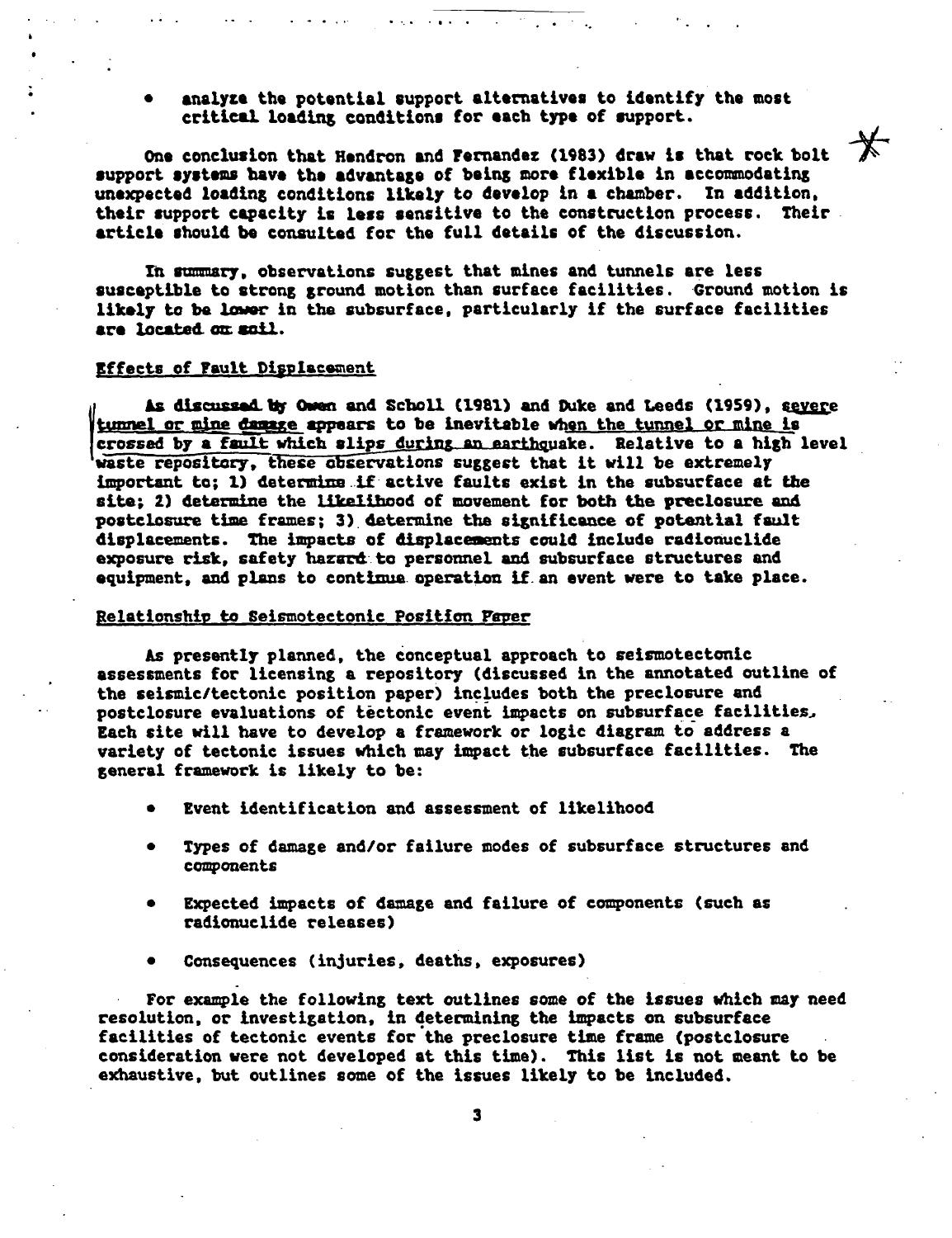analyze the potential support alternatives to identify the most critical loading conditions for each **type** of support.

One conclusion that Hendron and Fernandez (1983) draw is that rock bolt support systems **have** the advantage of being more **flexible** in accommodating unexpected loading conditions likely to develop in a chamber. In addition, their support capacity is less sensitive to the construction process. Their article should be consulted for the full details of the discussion.

In summary, observations suggest that mines and tunnels are less susceptible to strong ground motion than surface facilities. Ground motion is likely to be lower in the subsurface, particularly if the surface facilities are located on soil.

#### Effects of Fault Displacement

As discussed by Owen and Scholl (1981) and Duke and Leeds (1959), severe tunnel mine **damage** appears to be inevitable when the tunnel or mine is crossed by a fault which slips during an earthquake. Relative to a high level waste repository, these observations suggest that it will be extremely important to; 1) determine if active faults exist in the subsurface at the site; 2) determine the likelihood of movement for both the preclosure and postclosure time frames; 3) determine the significance of potential fault displacements. The impacts of displacements could include radionuclide exposure risk, safety hazard to personnel and subsurface structures and equipment, and plans to continue operation if an event were to take place.

#### Relationship to Seismotectonic Position Paper

As presently planned, the conceptual approach to seismotectonic assessments for licensing a repository (discussed in the annotated outline of the seismic/tectonic position paper) includes both the preclosure and postclosure evaluations of tectonic event impacts on subsurface facilities Each site will have to develop a framework or logic diagram to address a variety of tectonic issues which may impact the subsurface facilities. The general framework is likely to be:

- Event identification and assessment of likelihood
- Types of damage and/or failure modes of subsurface structures and components
- Expected impacts of damage and failure of components (such as radionuclide releases)
- Consequences (injuries, deaths, exposures)

For example the following text outlines some of the issues which may need resolution, or investigation, in determining the impacts on subsurface facilities of tectonic events for the preclosure time frame (postclosure consideration were not developed at this time). This list is not meant to be exhaustive, but outlines some of the issues likely to be included.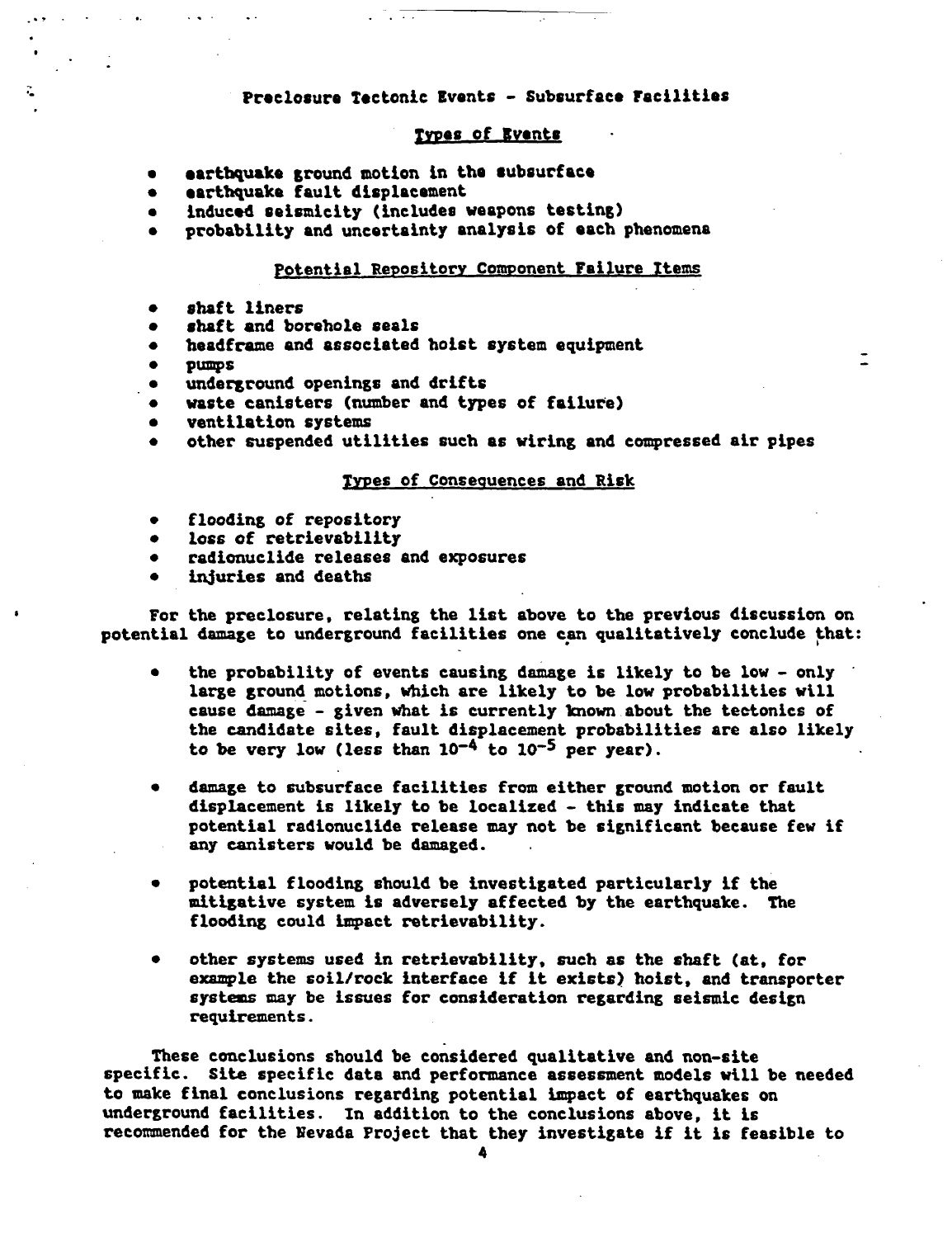### Preclosure Tectonic Events - Subsurface Facilities

#### Types of Events

- earthquake ground motion in the subsurface
- earthquake fault displacement
- induced seismicity (includes weapons testing)
- probability and uncertainty analysis of each phenomena

#### Potential Repository Component Failure Items

- shaft liners  $\bullet$
- shaft and borehole seals
- headframe and associated hoist system equipment
- pumps

 $\rightarrow$ 

 $\widetilde{\mathcal{C}}$ 

- underground openings and drifts
- waste canisters (number and types of failure)
- ventilation systems
- other suspended utilities such as wiring and compressed air pipes

#### Types of Consequences and Risk

- flooding of repository  $\bullet$
- loss of retrievability  $\bullet$
- $\bullet$ radionuclide releases and exposures
- injuries and deaths

For the preclosure, relating the list above to the previous discussion on potential damage to underground facilities one can qualitatively conclude that:

- the probability of events causing damage is likely to be low only  $\bullet$ large ground motions, which are likely to be low probabilities will cause damage - given what is currently known about the tectonics of the candidate sites, fault displacement probabilities are also likely to be very low (less than  $10^{-4}$  to  $10^{-5}$  per year).
- damage to subsurface facilities from either ground motion or fault  $\bullet$ displacement is likely to be localized - this may indicate that potential radionuclide release may not be significant because few if any canisters would be damaged.
- potential flooding should be investigated particularly if the mitigative system is adversely affected by the earthquake. The flooding could impact retrievability.
- other systems used in retrievability, such as the shaft (at, for  $\bullet$ example the soil/rock interface if it exists) hoist, and transporter systems may be issues for consideration regarding seismic design requirements.

These conclusions should be considered qualitative and non-site specific. Site specific data and performance assessment models will be needed to make final conclusions regarding potential impact of earthquakes on underground facilities. In addition to the conclusions above, it is recommended for the Nevada Project that they investigate if it is feasible to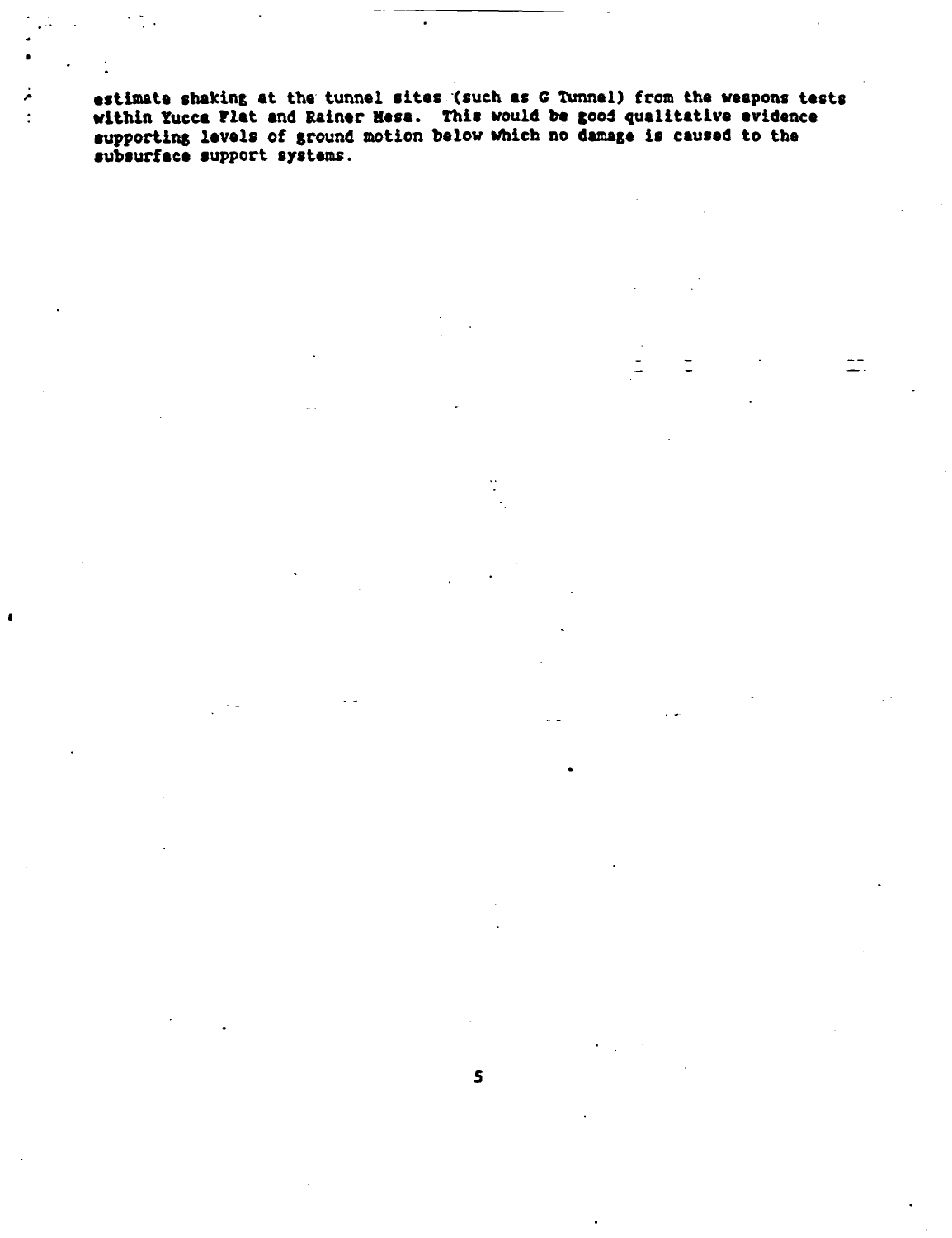**estimate** shaking at the tunnel sites (such as G Tunnel) from the weapons tests within Yucca Flat **and** Rainer Mesa. This would be good qualitative evidence supporting levels of ground motion below which no damage is caused to the subsurface support systems.

 $\pm$ .

 $\bullet$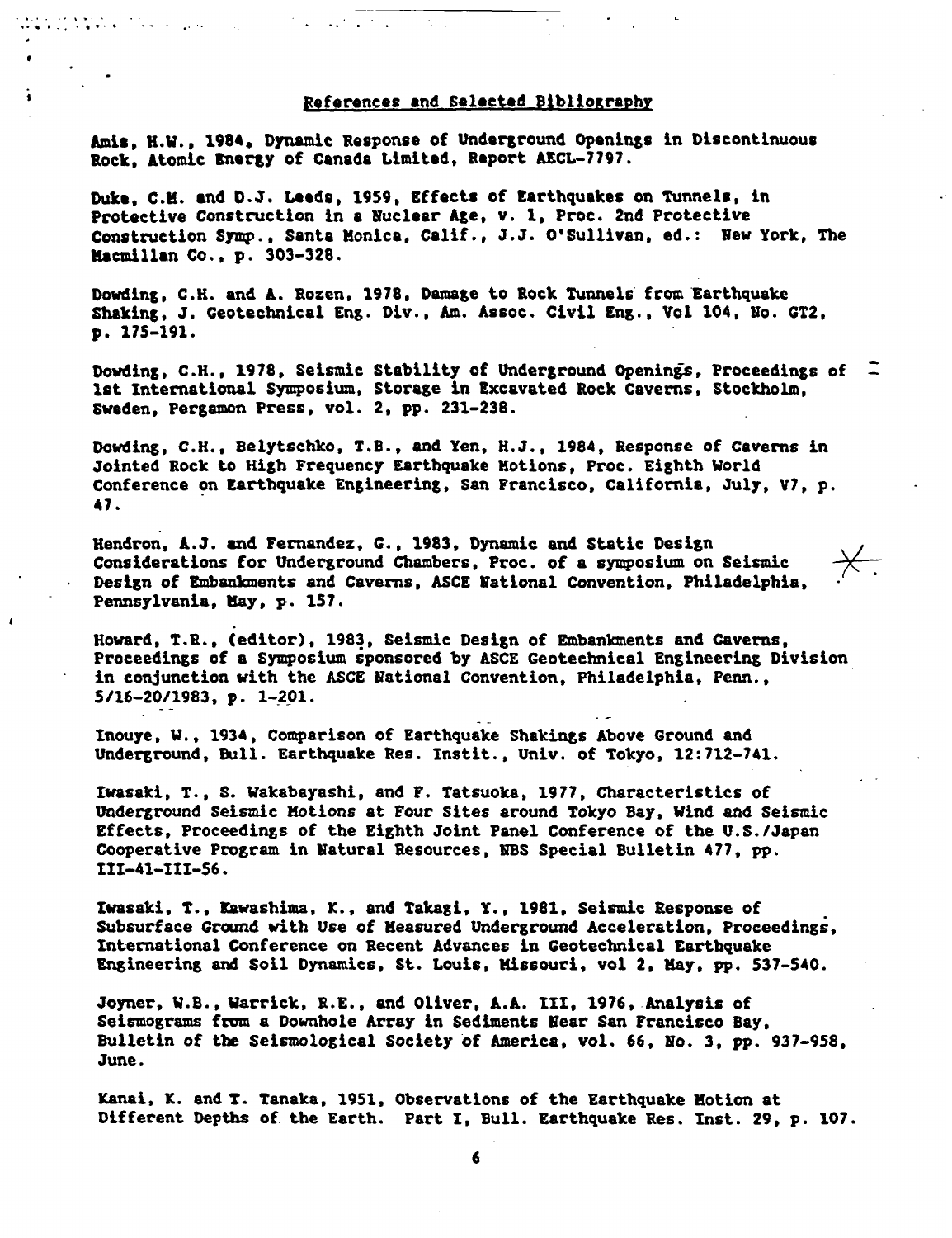#### References **and Selected** Bibliography

**Amis,** H.W., 1984. Dynamic Response of Underground Openings in Discontinuous Rock, Atomic Energy of Canada Limited, Report AECL-7797.

անդեր և համար գործությունները։<br>«Գերգում է չոր երգի առանց է համար համար է չոր եր

Duke, C.M. **and** D.J. Leeds, 1959, Effects of Earthquakes on Tunnels, in Protective Construction in a Nuclear Age, v. 1, Proc. 2nd Protective Construction Symp., Santa Monica, Calif., J.J. O'Sullivan, ed.: New York, The Macmillan Co., p. 303-328.

Dowding, C.H. and A. Rozen, 1978, Damage to Rock Tunnels from Earthquake Shaking, J. Geotechnical Eng. Div., Am. Assoc. Civil Eng., Vol 104, No. GT2, p. *175-191.*

Dowding, C.H., 1978, Seismic Stability of Underground Openings, Proceedings of Ist International Symposium, Storage in Excavated Rock Caverns, Stockholm, Sweden, Pergamon Press, vol. 2, pp. 231-238.

Dowding, C.H., Belytschko, T.B., and Yen, H.J., 1984, Response of Caverns in Jointed Rock to High Frequency Earthquake Motions, Proc. Eighth World Conference on Earthquake Engineering, San Francisco, California, July, V7, p. 47.

Hendron, A.J. and Fernandez, G., 1983, Dynamic and Static Design Considerations for Underground Chambers, Proc. of a symposium on Seismic Design of Embankments and Caverns, ASCE National Convention. Philadelphia, Pennsylvania, May, p. 157.

Howard, T.R., (editor), 1983, Seismic Design of Embankments and Caverns, Proceedings of a Symposium sponsored by ASCE Geotechnical Engineering Division in conjunction with the ASCE National Convention, Philadelphia, Penn., 5/16-20/1983, p. 1-201.

Inouye, W., 1934, Comparison of Earthquake Shakings Above Ground and Underground, Bull. Earthquake Res. Instit., Univ. of Tokyo, 12:712-741.

Iwasaki, T., S. Wakabayashi, and F. Tatsuoka, 1977, Characteristics of Underground Seismic Motions at Four Sites around Tokyo Bay, Wind and Seismic Effects, Proceedings of the Eighth Joint Panel Conference of the U.S./Japan Cooperative Program in Natural Resources, NBS Special Bulletin 477, pp. III-41-III-56.

Ivasaki, T., Kawashima, K., and Takagi, Y., 1981, Seismic Response of Subsurface Ground with Use of Measured Underground Acceleration, Proceedings, International Conference on Recent Advances in Geotechnical Earthquake Engineering and Soil Dynamics, St. Louis, Missouri, vol 2, May, pp. 537-540.

Joyner, W.B., Warrick, R.E., and Oliver, A.A. III, 1976, Analysis of Seismograms from a Downhole Array in Sediments Near San Francisco Bay, Bulletin of the Seismological Society of America, vol. 66, No. 3, pp. 937-958, June.

Kanai, **K.** and T. Tanaka, 1951, Observations of the Earthquake Motion at Different Depths of the Earth. Part I, Bull. Earthquake Res. Inst. 29, p. 107.

6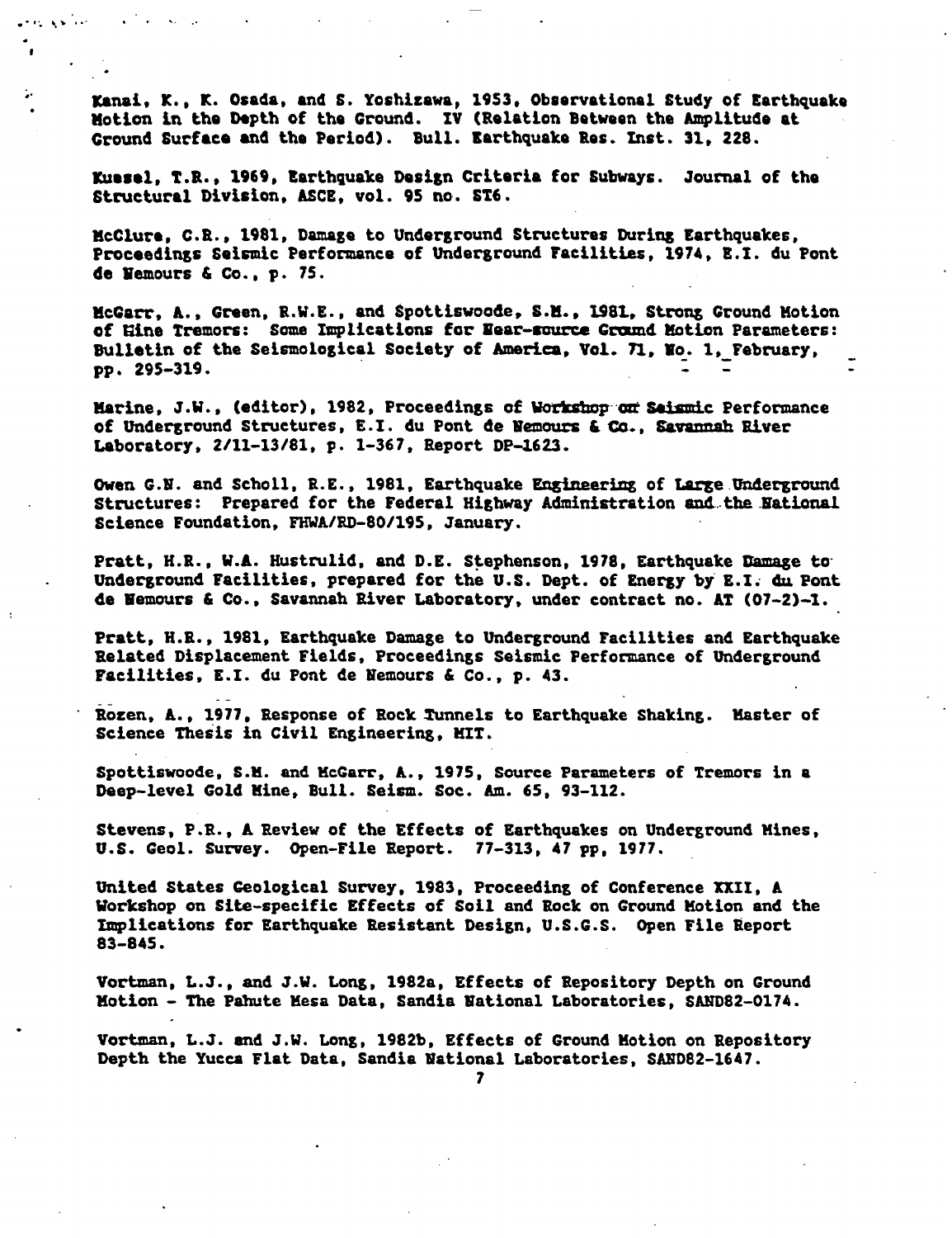Kanai, K., K. Osada, and S. Yoshizawa, 1953, Observational Study of Earthquake notion in the Depth of the Ground. IV (Relation Between the Amplitude at Ground Surface and the Period). Bull. Earthquake Res. Inst. 31, 228.

المتأخرة المعتب

٠.

Kuasel, **T.R.,** 1969, Earthquake Design Criteria for Subways Journal of the Structural Division, ASCE, vol. 95 **no.** ST6.

McClure, C.R, 1981, Damage to Underground Structures During Earthquakes, Proceedings Seismic Performance of Underground Facilities, 1974, E.I. du Pont de Nemours & Co., p. 75.

McGarr, A., Green, R.W.E., and Spottiswoode, S.M., 1981, Strong Ground Motion of Mine Tremors: Some Implications for Near-source Ground Motion Parameters: Bulletin of the Seismological Society of America, Vol. 71, No. 1, February, pp. 295-319.

Marine, J.W., (editor), 1982, Proceedings of Workshop on Saismic Performance of Underground Structures, E.I. du Pont de Nemours & Co., Savannah River Laboratory, 2/11-13/81, p. 1-367, Report DP-1623.

Owen G.N. and Scholl, R.E., 1981, Earthquake Engineering of Large Underground Structures: Prepared for the Federal Highway Administration and the National Science Foundation, FHWA/RD-80/195, January.

Pratt, H.R., W.A. Hustrulid, and D.E. Stephenson, 1978, Earthquake Damage to Underground Facilities, prepared for the U.S. Dept. of Energy by E.I. du Pont de Nemours & Co., Savannah River Laboratory, under contract no. AT (07-2)-i.

Pratt, H.R., 1981, Earthquake Damage to Underground Facilities and Earthquake Related Displacement Fields, Proceedings Seismic Performance of Underground Facilities, E.I. du Pont de Nemours & Co., p. 43.

Rozen, A., 1977, Response of Rock Tunnels to Earthquake Shaking. Master of Science Thesis in Civil Engineering, MIT.

Spottiswoode, S.M. and McGarr, A., 1975, Source Parameters of Tremors in a Deep-level Gold Mine, Bull. Seism. Soc. Am. 65, 93-112.

Stevens, P.R., A Review of the Effects of Earthquakes on Underground Mines, U.S. Geol. Survey. Open-File Report. 77-313, 47 pp. 1977.

United States Geological Survey, 1983, Proceeding of Conference XII, A Workshop on Site-specific Effects of Soil and Rock on Ground Motion and the Implications for Earthquake Resistant Design, U.S.G.S. Open File Report 83-845.

Vortman, L.J., and J.W. Long, 1982a, Effects of Repository Depth on Ground Motion - The Pahute Mesa Data, Sandia National Laboratories, SAND82-0174.

Vortman, L.J. and J.W. Long, 1982b, Effects of Ground Motion on Repository Depth the Yucca Flat Data, Sandia National Laboratories, SAND82-1647.